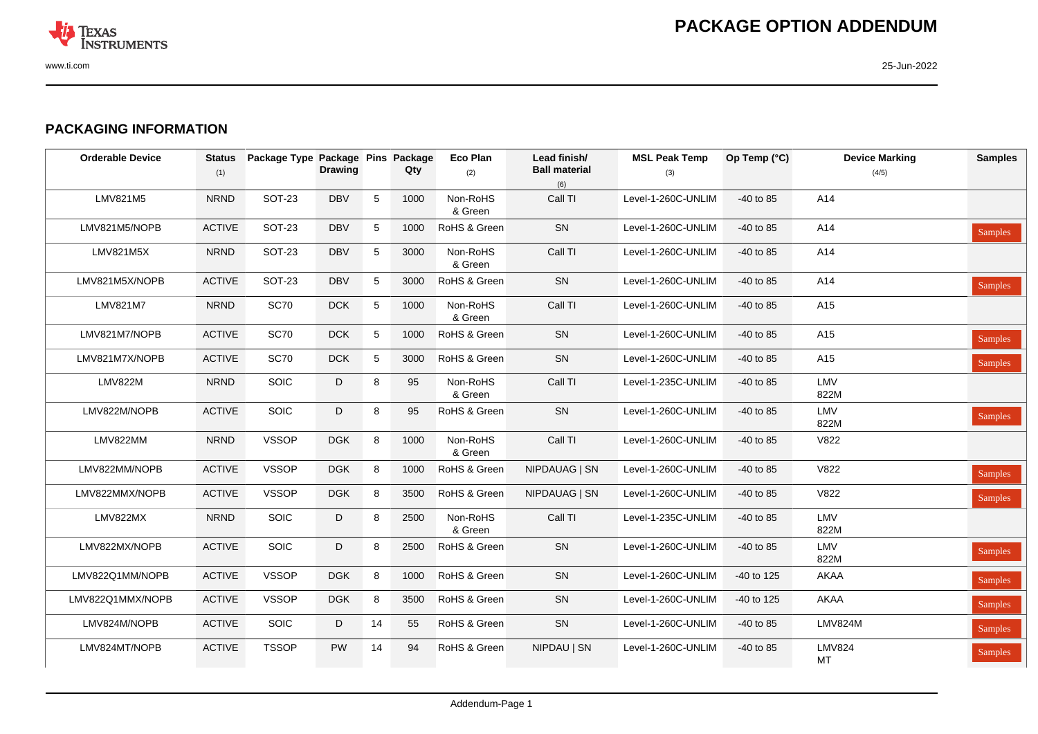

## **PACKAGING INFORMATION**

| <b>Orderable Device</b> | <b>Status</b><br>(1) | Package Type Package Pins Package | <b>Drawing</b> |    | Qty  | <b>Eco Plan</b><br>(2) | Lead finish/<br><b>Ball material</b><br>(6) | <b>MSL Peak Temp</b><br>(3) | Op Temp (°C)  | <b>Device Marking</b><br>(4/5) | <b>Samples</b> |
|-------------------------|----------------------|-----------------------------------|----------------|----|------|------------------------|---------------------------------------------|-----------------------------|---------------|--------------------------------|----------------|
| LMV821M5                | <b>NRND</b>          | <b>SOT-23</b>                     | <b>DBV</b>     | 5  | 1000 | Non-RoHS<br>& Green    | Call TI                                     | Level-1-260C-UNLIM          | $-40$ to 85   | A14                            |                |
| LMV821M5/NOPB           | <b>ACTIVE</b>        | <b>SOT-23</b>                     | <b>DBV</b>     | 5  | 1000 | RoHS & Green           | SN                                          | Level-1-260C-UNLIM          | $-40$ to 85   | A14                            | Samples        |
| LMV821M5X               | <b>NRND</b>          | <b>SOT-23</b>                     | <b>DBV</b>     | 5  | 3000 | Non-RoHS<br>& Green    | Call TI                                     | Level-1-260C-UNLIM          | $-40$ to 85   | A14                            |                |
| LMV821M5X/NOPB          | <b>ACTIVE</b>        | <b>SOT-23</b>                     | <b>DBV</b>     | 5  | 3000 | RoHS & Green           | ${\sf SN}$                                  | Level-1-260C-UNLIM          | $-40$ to 85   | A14                            | Samples        |
| <b>LMV821M7</b>         | <b>NRND</b>          | <b>SC70</b>                       | <b>DCK</b>     | 5  | 1000 | Non-RoHS<br>& Green    | Call TI                                     | Level-1-260C-UNLIM          | $-40$ to 85   | A15                            |                |
| LMV821M7/NOPB           | <b>ACTIVE</b>        | <b>SC70</b>                       | <b>DCK</b>     | 5  | 1000 | RoHS & Green           | SN                                          | Level-1-260C-UNLIM          | $-40$ to 85   | A15                            | Samples        |
| LMV821M7X/NOPB          | <b>ACTIVE</b>        | <b>SC70</b>                       | DCK            | 5  | 3000 | RoHS & Green           | SN                                          | Level-1-260C-UNLIM          | $-40$ to 85   | A15                            | <b>Samples</b> |
| <b>LMV822M</b>          | <b>NRND</b>          | <b>SOIC</b>                       | D              | 8  | 95   | Non-RoHS<br>& Green    | Call TI                                     | Level-1-235C-UNLIM          | $-40$ to $85$ | LMV<br>822M                    |                |
| LMV822M/NOPB            | <b>ACTIVE</b>        | <b>SOIC</b>                       | D              | 8  | 95   | RoHS & Green           | SN                                          | Level-1-260C-UNLIM          | $-40$ to 85   | LMV<br>822M                    | Samples        |
| LMV822MM                | <b>NRND</b>          | <b>VSSOP</b>                      | <b>DGK</b>     | 8  | 1000 | Non-RoHS<br>& Green    | Call TI                                     | Level-1-260C-UNLIM          | $-40$ to 85   | V822                           |                |
| LMV822MM/NOPB           | <b>ACTIVE</b>        | <b>VSSOP</b>                      | <b>DGK</b>     | 8  | 1000 | RoHS & Green           | NIPDAUAG   SN                               | Level-1-260C-UNLIM          | $-40$ to 85   | V822                           | Samples        |
| LMV822MMX/NOPB          | <b>ACTIVE</b>        | <b>VSSOP</b>                      | <b>DGK</b>     | 8  | 3500 | RoHS & Green           | NIPDAUAG   SN                               | Level-1-260C-UNLIM          | $-40$ to 85   | V822                           | Samples        |
| LMV822MX                | <b>NRND</b>          | <b>SOIC</b>                       | D              | 8  | 2500 | Non-RoHS<br>& Green    | Call TI                                     | Level-1-235C-UNLIM          | $-40$ to 85   | LMV<br>822M                    |                |
| LMV822MX/NOPB           | <b>ACTIVE</b>        | SOIC                              | D              | 8  | 2500 | RoHS & Green           | SN                                          | Level-1-260C-UNLIM          | $-40$ to 85   | LMV<br>822M                    | <b>Samples</b> |
| LMV822Q1MM/NOPB         | <b>ACTIVE</b>        | <b>VSSOP</b>                      | <b>DGK</b>     | 8  | 1000 | RoHS & Green           | SN                                          | Level-1-260C-UNLIM          | -40 to 125    | AKAA                           | <b>Samples</b> |
| LMV822Q1MMX/NOPB        | <b>ACTIVE</b>        | <b>VSSOP</b>                      | DGK            | 8  | 3500 | RoHS & Green           | SN                                          | Level-1-260C-UNLIM          | $-40$ to 125  | AKAA                           | Samples        |
| LMV824M/NOPB            | <b>ACTIVE</b>        | <b>SOIC</b>                       | D              | 14 | 55   | RoHS & Green           | SN                                          | Level-1-260C-UNLIM          | $-40$ to 85   | LMV824M                        | Samples        |
| LMV824MT/NOPB           | <b>ACTIVE</b>        | <b>TSSOP</b>                      | PW             | 14 | 94   | RoHS & Green           | NIPDAU   SN                                 | Level-1-260C-UNLIM          | -40 to 85     | <b>LMV824</b><br>MT            | Samples        |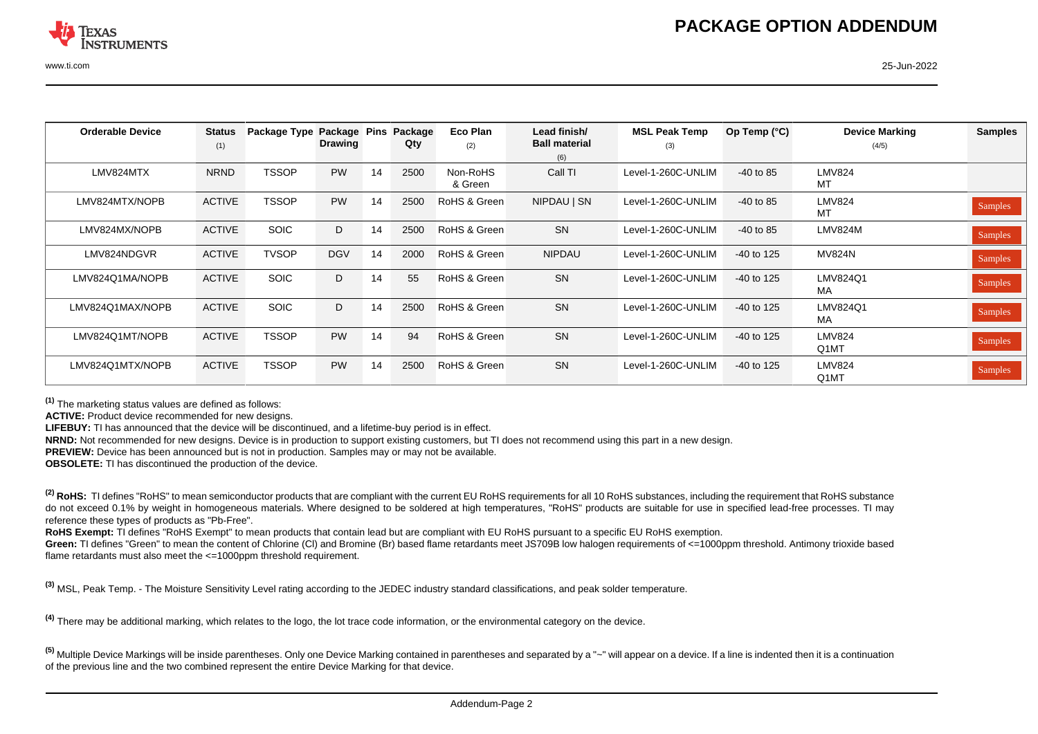| <b>Orderable Device</b> | <b>Status</b> | Package Type Package Pins |                |    | Package | Eco Plan            | Lead finish/         | <b>MSL Peak Temp</b> | Op Temp $(°C)$ | <b>Device Marking</b> | <b>Samples</b> |
|-------------------------|---------------|---------------------------|----------------|----|---------|---------------------|----------------------|----------------------|----------------|-----------------------|----------------|
|                         | (1)           |                           | <b>Drawing</b> |    | Qty     | (2)                 | <b>Ball material</b> | (3)                  |                | (4/5)                 |                |
|                         |               |                           |                |    |         |                     | (6)                  |                      |                |                       |                |
| LMV824MTX               | <b>NRND</b>   | <b>TSSOP</b>              | <b>PW</b>      | 14 | 2500    | Non-RoHS<br>& Green | Call TI              | Level-1-260C-UNLIM   | $-40$ to 85    | <b>LMV824</b><br>MT   |                |
| LMV824MTX/NOPB          | <b>ACTIVE</b> | <b>TSSOP</b>              | <b>PW</b>      | 14 | 2500    | RoHS & Green        | NIPDAU   SN          | Level-1-260C-UNLIM   | $-40$ to 85    | <b>LMV824</b><br>MT   | Samples        |
| LMV824MX/NOPB           | <b>ACTIVE</b> | <b>SOIC</b>               | D              | 14 | 2500    | RoHS & Green        | <b>SN</b>            | Level-1-260C-UNLIM   | $-40$ to 85    | LMV824M               | Samples        |
| LMV824NDGVR             | <b>ACTIVE</b> | <b>TVSOP</b>              | <b>DGV</b>     | 14 | 2000    | RoHS & Green        | <b>NIPDAU</b>        | Level-1-260C-UNLIM   | $-40$ to 125   | <b>MV824N</b>         | Samples        |
| LMV824Q1MA/NOPB         | <b>ACTIVE</b> | <b>SOIC</b>               | D              | 14 | 55      | RoHS & Green        | SN                   | Level-1-260C-UNLIM   | $-40$ to 125   | LMV824Q1<br>MA        | <b>Samples</b> |
| LMV824Q1MAX/NOPB        | <b>ACTIVE</b> | <b>SOIC</b>               | D              | 14 | 2500    | RoHS & Green        | <b>SN</b>            | Level-1-260C-UNLIM   | $-40$ to 125   | LMV824Q1<br>MA        | Samples        |
| LMV824Q1MT/NOPB         | <b>ACTIVE</b> | <b>TSSOP</b>              | <b>PW</b>      | 14 | 94      | RoHS & Green        | <b>SN</b>            | Level-1-260C-UNLIM   | $-40$ to 125   | <b>LMV824</b><br>Q1MT | Samples        |
| LMV824Q1MTX/NOPB        | <b>ACTIVE</b> | <b>TSSOP</b>              | <b>PW</b>      | 14 | 2500    | RoHS & Green        | <b>SN</b>            | Level-1-260C-UNLIM   | $-40$ to 125   | <b>LMV824</b><br>Q1MT | Samples        |

**(1)** The marketing status values are defined as follows:

**ACTIVE:** Product device recommended for new designs.

**LIFEBUY:** TI has announced that the device will be discontinued, and a lifetime-buy period is in effect.

**NRND:** Not recommended for new designs. Device is in production to support existing customers, but TI does not recommend using this part in a new design.

**PREVIEW:** Device has been announced but is not in production. Samples may or may not be available.

**OBSOLETE:** TI has discontinued the production of the device.

<sup>(2)</sup> RoHS: TI defines "RoHS" to mean semiconductor products that are compliant with the current EU RoHS requirements for all 10 RoHS substances, including the requirement that RoHS substance do not exceed 0.1% by weight in homogeneous materials. Where designed to be soldered at high temperatures, "RoHS" products are suitable for use in specified lead-free processes. TI may reference these types of products as "Pb-Free".

**RoHS Exempt:** TI defines "RoHS Exempt" to mean products that contain lead but are compliant with EU RoHS pursuant to a specific EU RoHS exemption.

Green: TI defines "Green" to mean the content of Chlorine (CI) and Bromine (Br) based flame retardants meet JS709B low halogen requirements of <=1000ppm threshold. Antimony trioxide based flame retardants must also meet the <=1000ppm threshold requirement.

**(3)** MSL, Peak Temp. - The Moisture Sensitivity Level rating according to the JEDEC industry standard classifications, and peak solder temperature.

**(4)** There may be additional marking, which relates to the logo, the lot trace code information, or the environmental category on the device.

**(5)** Multiple Device Markings will be inside parentheses. Only one Device Marking contained in parentheses and separated by a "~" will appear on a device. If a line is indented then it is a continuation of the previous line and the two combined represent the entire Device Marking for that device.